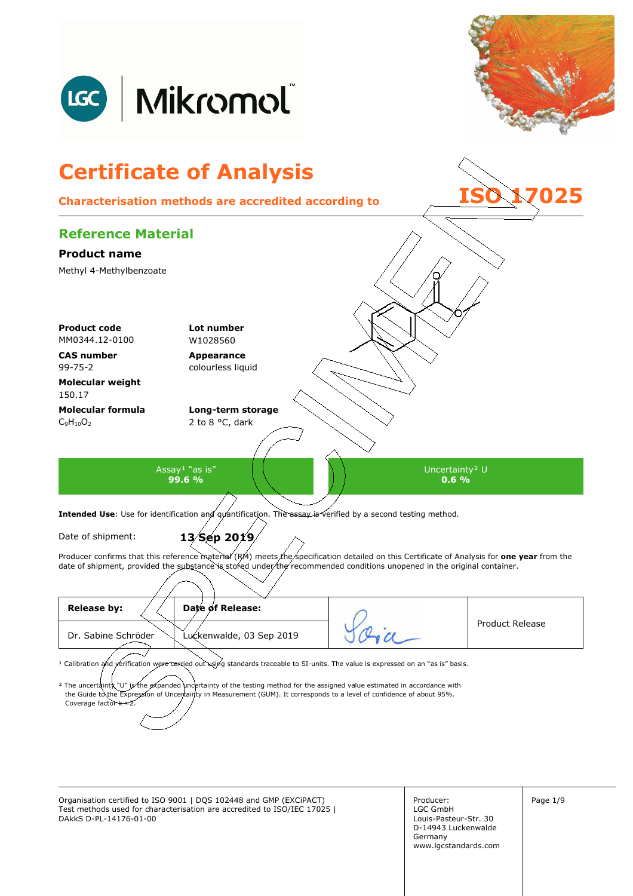

Organisation certified to ISO 9001 | DQS 102448 and GMP (EXCiPACT) Producer: Page 1/9 Test methods used for characterisation are accredited to ISO/IEC 17025 | DAkkS D-PL-14176-01-00

Producer: LGC GmbH Louis-Pasteur-Str. 30 D-14943 Luckenwalde Germany www.lgcstandards.com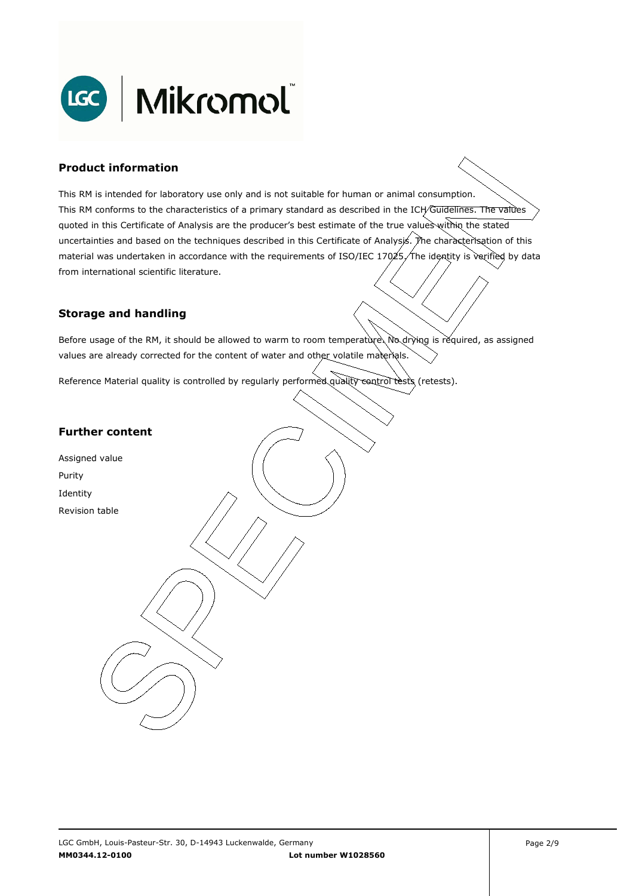

### **Product information**

This RM is intended for laboratory use only and is not suitable for human or animal consumption. This RM conforms to the characteristics of a primary standard as described in the ICH/Guidelines. The values quoted in this Certificate of Analysis are the producer's best estimate of the true values within the stated uncertainties and based on the techniques described in this Certificate of Analysis. The characterisation of this material was undertaken in accordance with the requirements of ISO/IEC 17025, The identity is verified by data . from international scientific literature.

#### **Storage and handling**

Before usage of the RM, it should be allowed to warm to room temperature. No drying is required, as assigned values are already corrected for the content of water and other volatile materials.

Reference Material quality is controlled by regularly performed quality control tests (retests).

### **Further content**

Assigned value Purity Identity Revision table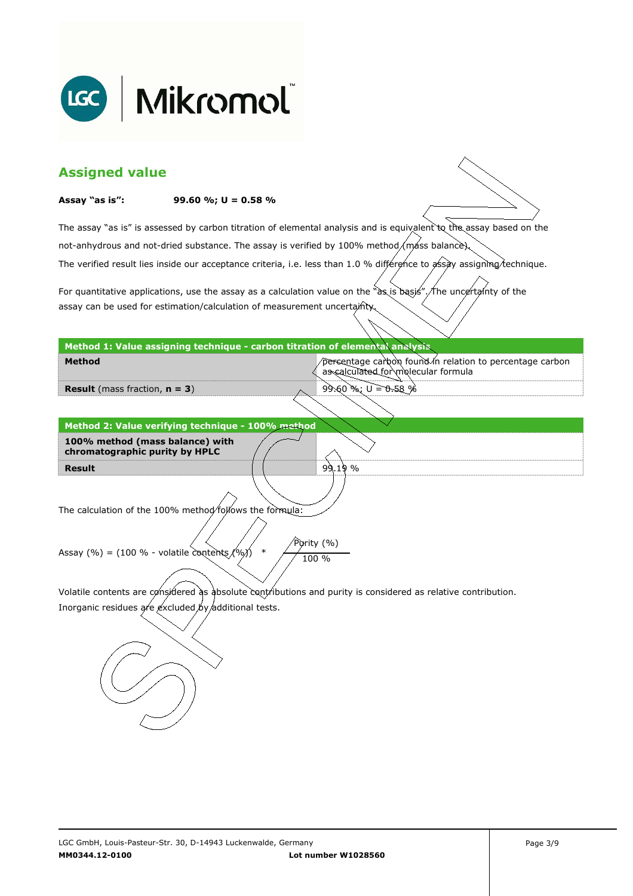

| <b>Assigned value</b>                                                                                                                                                 |                                                                                                                        |                                                                                                                     |  |  |  |
|-----------------------------------------------------------------------------------------------------------------------------------------------------------------------|------------------------------------------------------------------------------------------------------------------------|---------------------------------------------------------------------------------------------------------------------|--|--|--|
| Assay "as is":                                                                                                                                                        | 99.60 %; $U = 0.58$ %                                                                                                  |                                                                                                                     |  |  |  |
|                                                                                                                                                                       |                                                                                                                        | The assay "as is" is assessed by carbon titration of elemental analysis and is equivalent to the assay based on the |  |  |  |
|                                                                                                                                                                       | not-anhydrous and not-dried substance. The assay is verified by 100% method/máss balance).                             |                                                                                                                     |  |  |  |
|                                                                                                                                                                       | The verified result lies inside our acceptance criteria, i.e. less than 1.0 % différence to assay assigning technique. |                                                                                                                     |  |  |  |
|                                                                                                                                                                       |                                                                                                                        | For quantitative applications, use the assay as a calculation value on the "as is basis". The uncertainty of the    |  |  |  |
| assay can be used for estimation/calculation of measurement uncertainty.                                                                                              |                                                                                                                        |                                                                                                                     |  |  |  |
|                                                                                                                                                                       | Method 1: Value assigning technique - carbon titration of elemental analysis                                           |                                                                                                                     |  |  |  |
| <b>Method</b>                                                                                                                                                         |                                                                                                                        | percentage carbon found in relation to percentage carbon<br>as calculated for molecular formula                     |  |  |  |
| <b>Result</b> (mass fraction, $n = 3$ )                                                                                                                               |                                                                                                                        | 99.60 %; $U = 0.58$ %                                                                                               |  |  |  |
|                                                                                                                                                                       |                                                                                                                        |                                                                                                                     |  |  |  |
|                                                                                                                                                                       | Method 2: Value verifying technique - 100% method                                                                      |                                                                                                                     |  |  |  |
| 100% method (mass balance) with<br>chromatographic purity by HPLC                                                                                                     |                                                                                                                        |                                                                                                                     |  |  |  |
| <b>Result</b>                                                                                                                                                         |                                                                                                                        | 99.19%                                                                                                              |  |  |  |
|                                                                                                                                                                       |                                                                                                                        |                                                                                                                     |  |  |  |
|                                                                                                                                                                       | The calculation of the 100% method/follows the formula:                                                                |                                                                                                                     |  |  |  |
| Purity (%)                                                                                                                                                            |                                                                                                                        |                                                                                                                     |  |  |  |
| $\ast$<br>Assay (%) = (100 % - volatile contents $(%$ )<br>100 %                                                                                                      |                                                                                                                        |                                                                                                                     |  |  |  |
|                                                                                                                                                                       |                                                                                                                        |                                                                                                                     |  |  |  |
| Volatile contents are considered as absolute contributions and purity is considered as relative contribution.<br>Inorganic residues are excluded by additional tests. |                                                                                                                        |                                                                                                                     |  |  |  |
|                                                                                                                                                                       |                                                                                                                        |                                                                                                                     |  |  |  |
|                                                                                                                                                                       |                                                                                                                        |                                                                                                                     |  |  |  |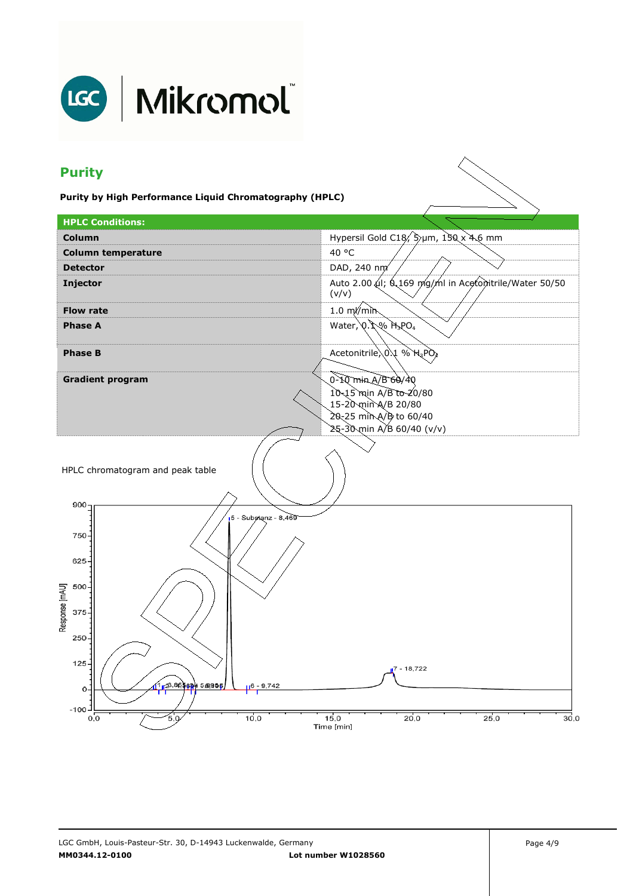

## LGC | Mikromol

## **Purity**

**Purity by High Performance Liquid Chromatography (HPLC)** 

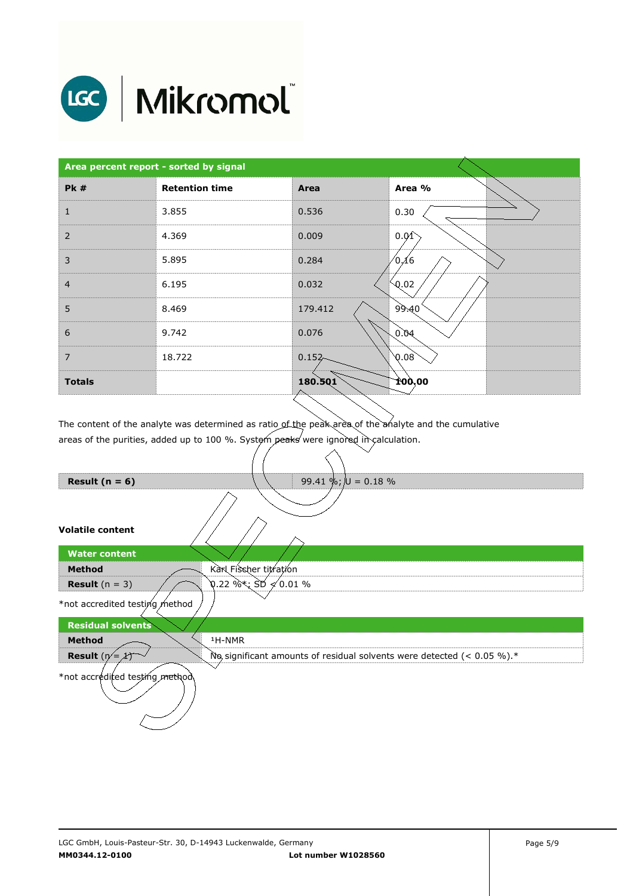

# LGC | Mikromol

| Area percent report - sorted by signal |                       |           |        |  |
|----------------------------------------|-----------------------|-----------|--------|--|
| <b>Pk#</b>                             | <b>Retention time</b> | Area      | Area % |  |
| 1                                      | 3.855                 | 0.536     | 0.30   |  |
| 2                                      | 4.369                 | 0.009     | 0.01   |  |
| 3                                      | 5.895                 | 0.284     | /0,16  |  |
| $\overline{4}$                         | 6.195                 | 0.032     | Q.02   |  |
| 5                                      | 8.469                 | 179.412   | 99.40  |  |
| 6                                      | 9.742                 | 0.076     | 96.0   |  |
| $\overline{7}$                         | 18.722                | $0.152 -$ | 0.08   |  |
| <b>Totals</b>                          |                       | 180.501   | 100,00 |  |

The content of the analyte was determined as ratio of the peak area of the analyte and the cumulative areas of the purities, added up to 100 %. System peaks were ignored in calculation.

| Result ( $n = 6$ )             | 99.41 %; $ U = 0.18$ %                                                    |
|--------------------------------|---------------------------------------------------------------------------|
|                                |                                                                           |
| <b>Volatile content</b>        |                                                                           |
| <b>Water content</b>           |                                                                           |
| <b>Method</b>                  | Karl Fischer titration                                                    |
| <b>Result</b> $(n = 3)$        | $0.22$ %*; SD $\neq 0.01$ %                                               |
| *not accredited testing method |                                                                           |
| <b>Residual solvents</b>       |                                                                           |
| <b>Method</b>                  | <sup>1</sup> H-NMR                                                        |
| <b>Result</b> $(n = \lambda)$  | No significant amounts of residual solvents were detected (< $0.05\%$ ).* |
| *not accredited testing method |                                                                           |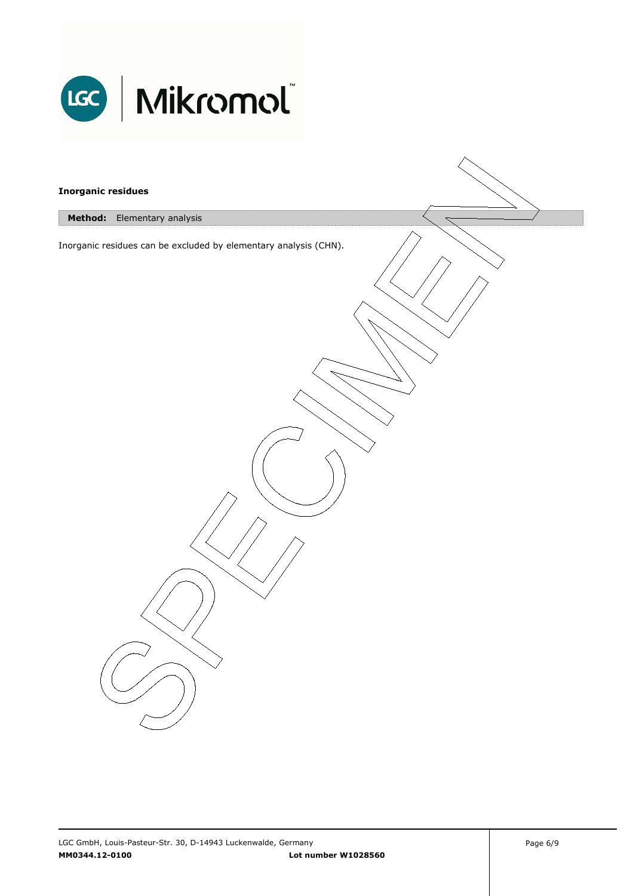

| <b>Inorganic residues</b> |                                                                  |  |
|---------------------------|------------------------------------------------------------------|--|
| <b>Method:</b>            | Elementary analysis                                              |  |
|                           | Inorganic residues can be excluded by elementary analysis (CHN). |  |
|                           |                                                                  |  |
|                           |                                                                  |  |
|                           |                                                                  |  |
|                           |                                                                  |  |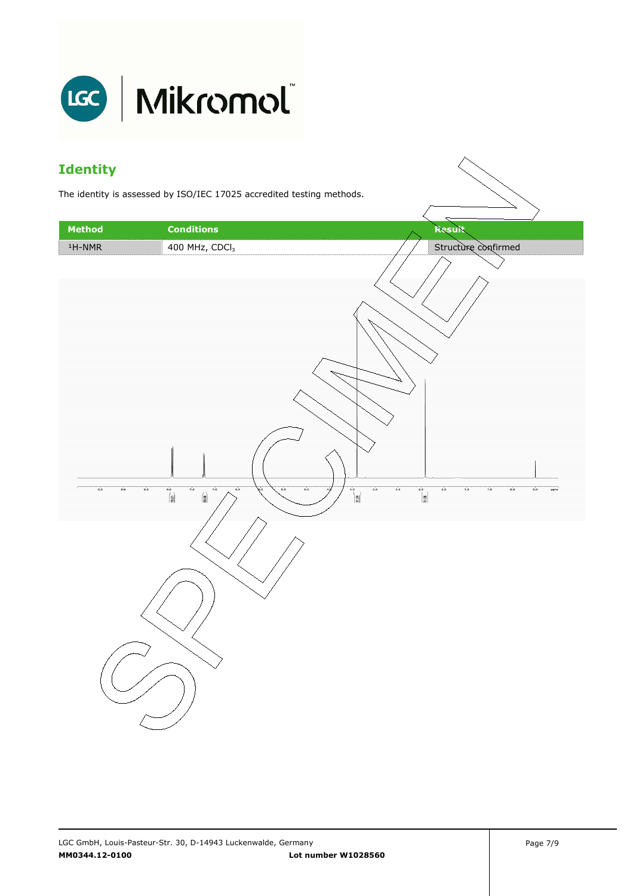

### **Identity**

The identity is assessed by ISO/IEC 17025 accredited testing methods.

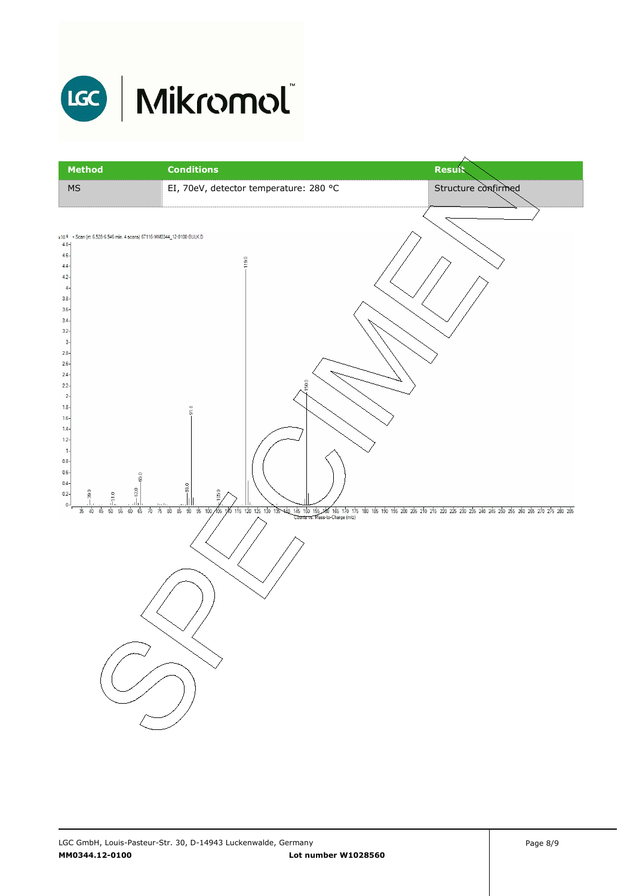